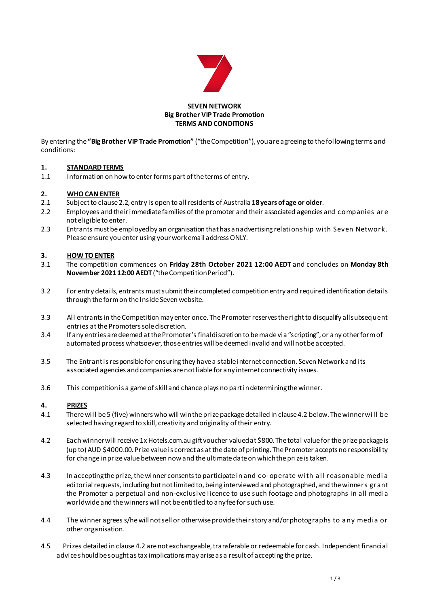

#### **SEVEN NETWORK Big Brother VIP Trade Promotion TERMS AND CONDITIONS**

By entering the **"Big Brother VIP Trade Promotion"** ("the Competition"), you are agreeing to the following terms and conditions:

### **1. STANDARD TERMS**

1.1 Information on how to enter forms part of the terms of entry.

# **2. WHO CAN ENTER**

- 2.1 Subject to clause 2.2, entry is open to all residents of Australia **18 years of age or older**.
- 2.2 Employees and their immediate families of the promoter and their associated agencies and c ompanies ar e not eligible to enter.
- 2.3 Entrants must be employed by an organisation that has an advertising relationship with Seven Network. Please ensure you enter using your work email address ONLY.

# **3. HOW TO ENTER**

- 3.1 The competition commences on **Friday 28th October 2021 12:00 AEDT** and concludes on **Monday 8th November 202112:00 AEDT**("the Competition Period").
- 3.2 For entry details, entrantsmust submit their completed competitionentry and required identification details through the form on the Inside Seven website.
- 3.3 All entrants in the Competition may enter once. The Promoter reserves the right to disqualify all subsequent entries at the Promoters sole discretion.
- 3.4 If any entries are deemed at the Promoter's final discretion to bemade via "scripting", or any other form of automated process whatsoever, those entries will be deemed invalid and will not be accepted.
- 3.5 The Entrant is responsible for ensuring they have a stable internet connection. Seven Network and its associated agencies and companies are not liable for any internet connectivity issues.
- 3.6 This competition is a game of skill and chance plays no part in determiningthewinner.

### **4. PRIZES**

- 4.1 There will be5 (five) winners who will win the prize package detailed in clause 4.2 below. The winner wi ll be selected having regard to skill, creativity and originality of their entry.
- 4.2 Each winner will receive1x Hotels.com.au gift voucher valued at \$800. The total value for theprize package is (up to) AUD \$4000.00. Prizevalue is correct as at the date of printing. The Promoter accepts no responsibility for change in prize value between now and the ultimate date on which the prize is taken.
- 4.3 In accepting the prize,the winner consentsto participate in and c o-operate wi th a ll reasonable medi a editorial requests, including but not limited to, being interviewed and photographed, and the winners grant the Promoter a perpetual and non-exclusive licence to use such footage and photographs in all media worldwideand the winners will not be entitled to any fee for such use.
- 4.4 The winner agrees s/he will not sell or otherwise provide their story and/or photographs to a ny media or other organisation.
- 4.5 Prizes detailedin clause 4.2 are not exchangeable, transferable or redeemable for cash. Independentfinancial advice should be sought as tax implications may arise as a result of accepting the prize.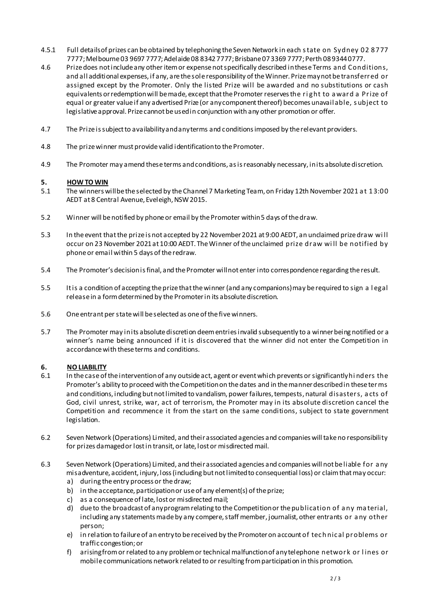- 4.5.1 Full details of prizes can be obtained by telephoning the Seven Network in each s tate on Sydney 02 8777 7777; Melbourne 03 9697 7777; Adelaide 08 8342 7777; Brisbane 07 3369 7777; Perth 08 9344 0777.
- 4.6 Prize does not include any other itemor expense not specifically described in these Terms and Conditions, and all additional expenses, if any, are the sole responsibility of the Winner. Prize may not be transferred or assigned except by the Promoter. Only the listed Prize will be awarded and no substitutions or cash equivalents or redemption will be made, except that the Promoter reserves the ri ght to a ward a Prize of equal or greater value if any advertised Prize (or any component thereof) becomes unavailable, s ubject to legislative approval. Prize cannot be used in conjunction with any other promotion or offer.
- 4.7 The Prize is subject to availability and any terms and conditions imposed by the relevant providers.
- 4.8 The prize winner must provide valid identification to the Promoter.
- 4.9 The Promoter may amend these terms and conditions, as is reasonably necessary, in its absolute discretion.

#### **5. HOW TO WIN**

- 5.1 The winners will be the selected by the Channel 7 Marketing Team, on Friday 12th November 2021 a t 13:00 AEDT at 8 Central Avenue, Eveleigh, NSW 2015.
- 5.2 Winner will benotified by phoneor email by thePromoter within5 days ofthedraw.
- 5.3 In theevent thatthe prizeis not accepted by 22 November2021 at 9:00 AEDT, an unclaimed prizedraw wi ll occur on 23 November 2021at 10:00 AEDT. TheWinner oftheunclaimed prize draw wi ll be notified by phone or email within 5 days of the redraw.
- 5.4 The Promoter's decision is final, and the Promoter will not enter into correspondence regarding the result.
- 5.5 It is a condition of accepting the prize that thewinner (and any companions) may be required to sign a l egal release in a form determined by the Promoter in its absolute discretion.
- 5.6 One entrant perstatewill be selected as one of the fivewinners.
- 5.7 The Promoter may in its absolute discretion deem entries invalid subsequently to a winner being notified or a winner's name being announced if it is discovered that the winner did not enter the Competition in accordance with these terms and conditions.

## **6. NO LIABILITY**

- 6.1 In the case of the intervention of any outside act, agent or event which prevents or significantly hi nders the Promoter's ability to proceed with the Competition on the dates and in the manner described in these terms and conditions, including but not limited to vandalism, power failures, tempests, natural disasters, a cts of God, civil unrest, strike, war, act of terrorism, the Promoter may in its absolute discretion cancel the Competition and recommence it from the start on the same conditions, subject to state government legislation.
- 6.2 Seven Network (Operations) Limited, and their associated agencies and companies will take no responsibility for prizes damaged or lost in transit, or late, lost or misdirected mail.
- 6.3 Seven Network (Operations) Limited, and their associated agencies and companies will not be liable for a ny misadventure, accident, injury, loss (including but not limited to consequential loss) or claim that may occur:
	- a) during the entry process or thedraw;
	- b) in the acceptance, participation or useof any element(s) of the prize;
	- c) as a consequence of late, lost or misdirected mail;
	- d) due to the broadcast of any program relating to the Competition or the publication of a ny ma terial, including any statements made by any compere, staff member, journalist, other entrants or a ny other person;
	- e) in relation to failure of an entryto be received by the Promoter on account of tec h nic al problems or traffic congestion; or
	- f) arising from or related to any problem or technical malfunction of anytelephone network or l ines or mobile communications network related to or resulting from participation in this promotion.